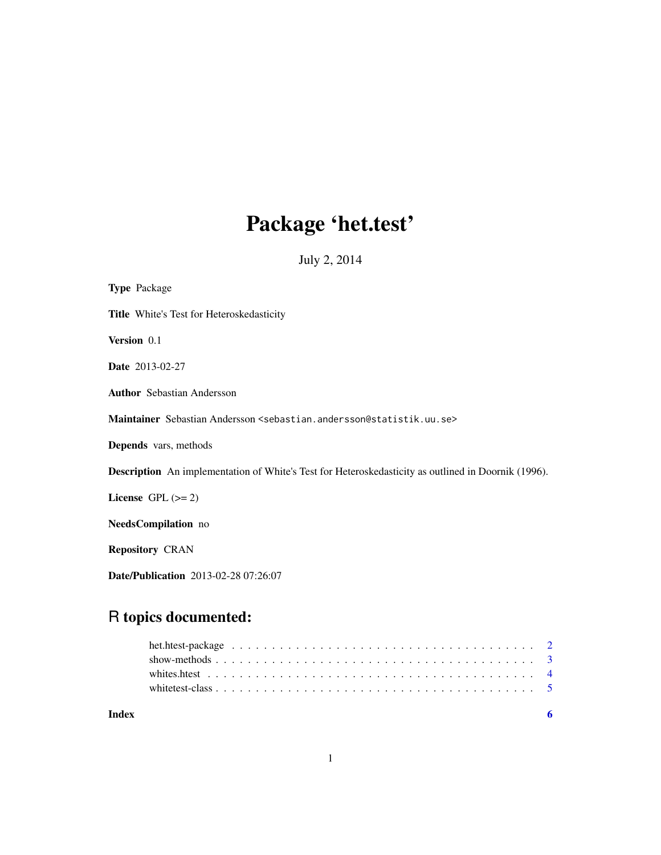# Package 'het.test'

July 2, 2014

<span id="page-0-0"></span>

| <b>Type Package</b>                                                                                        |
|------------------------------------------------------------------------------------------------------------|
| Title White's Test for Heteroskedasticity                                                                  |
| <b>Version</b> 0.1                                                                                         |
| <b>Date</b> 2013-02-27                                                                                     |
| <b>Author</b> Sebastian Andersson                                                                          |
| Maintainer Sebastian Andersson <sebastian.andersson@statistik.uu.se></sebastian.andersson@statistik.uu.se> |
| Depends vars, methods                                                                                      |
| <b>Description</b> An implementation of White's Test for Heteroskedasticity as outlined in Doornik (1996). |
| License GPL $(>= 2)$                                                                                       |
| NeedsCompilation no                                                                                        |
| <b>Repository CRAN</b>                                                                                     |
| Date/Publication 2013-02-28 07:26:07                                                                       |

# R topics documented:

| Index |  |
|-------|--|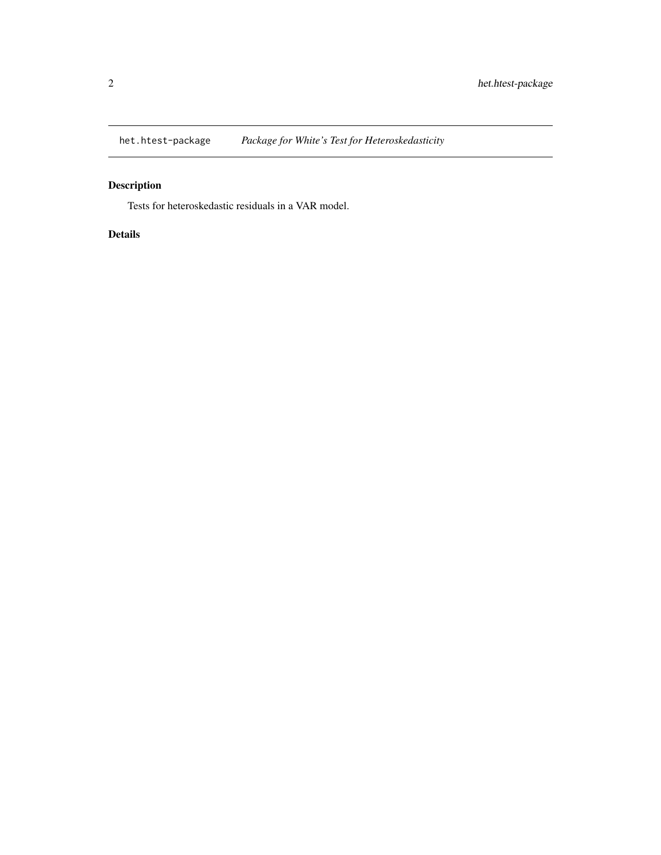<span id="page-1-0"></span>

# Description

Tests for heteroskedastic residuals in a VAR model.

#### Details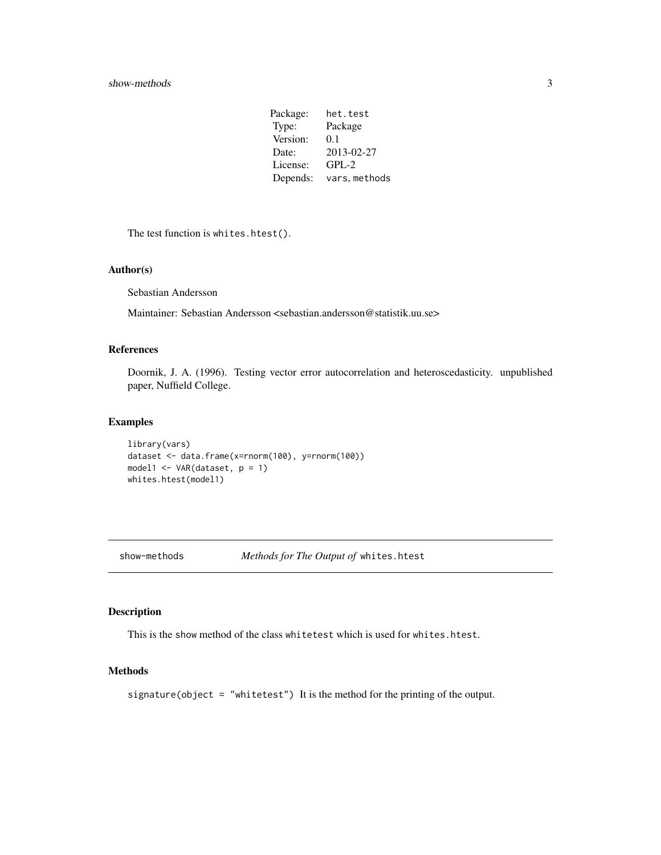| Package: | het.test      |
|----------|---------------|
| Type:    | Package       |
| Version: | 0.1           |
| Date:    | 2013-02-27    |
| License: | $GPL-2$       |
| Depends: | vars, methods |

<span id="page-2-0"></span>The test function is whites.htest().

#### Author(s)

Sebastian Andersson

Maintainer: Sebastian Andersson <sebastian.andersson@statistik.uu.se>

#### References

Doornik, J. A. (1996). Testing vector error autocorrelation and heteroscedasticity. unpublished paper, Nuffield College.

#### Examples

```
library(vars)
dataset <- data.frame(x=rnorm(100), y=rnorm(100))
model1 <- VAR(dataset, p = 1)
whites.htest(model1)
```
show-methods *Methods for The Output of* whites.htest

### Description

This is the show method of the class whitetest which is used for whites.htest.

### Methods

signature(object = "whitetest") It is the method for the printing of the output.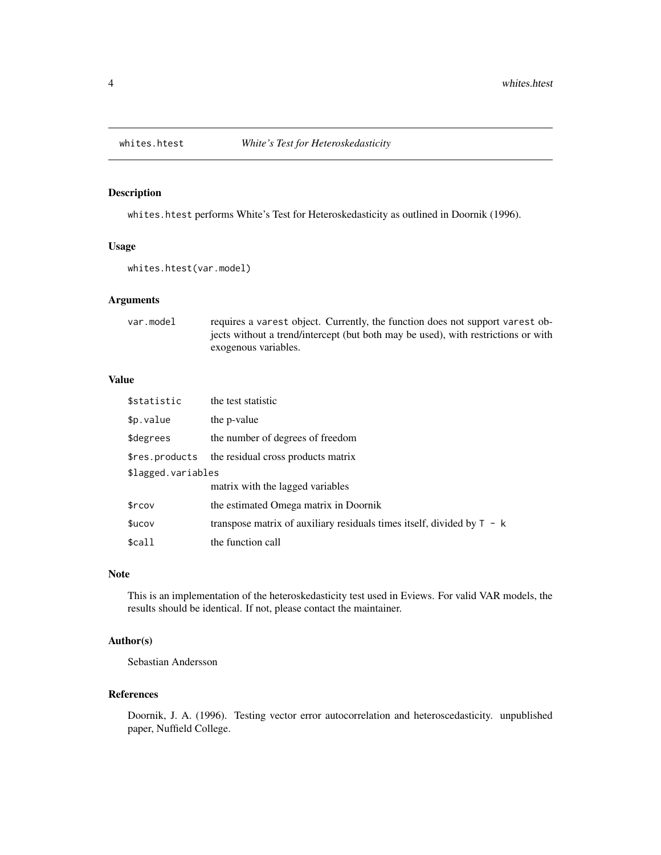<span id="page-3-0"></span>

#### Description

whites.htest performs White's Test for Heteroskedasticity as outlined in Doornik (1996).

#### Usage

whites.htest(var.model)

#### Arguments

var.model requires a varest object. Currently, the function does not support varest objects without a trend/intercept (but both may be used), with restrictions or with exogenous variables.

#### Value

| \$statistic        | the test statistic                                                       |  |  |  |
|--------------------|--------------------------------------------------------------------------|--|--|--|
| \$p.value          | the p-value                                                              |  |  |  |
| \$degrees          | the number of degrees of freedom                                         |  |  |  |
| \$res.products     | the residual cross products matrix                                       |  |  |  |
| \$lagged.variables |                                                                          |  |  |  |
|                    | matrix with the lagged variables                                         |  |  |  |
| \$rcov             | the estimated Omega matrix in Doornik                                    |  |  |  |
| \$ucov             | transpose matrix of auxiliary residuals times itself, divided by $T - k$ |  |  |  |
| \$call             | the function call                                                        |  |  |  |

#### Note

This is an implementation of the heteroskedasticity test used in Eviews. For valid VAR models, the results should be identical. If not, please contact the maintainer.

#### Author(s)

Sebastian Andersson

#### References

Doornik, J. A. (1996). Testing vector error autocorrelation and heteroscedasticity. unpublished paper, Nuffield College.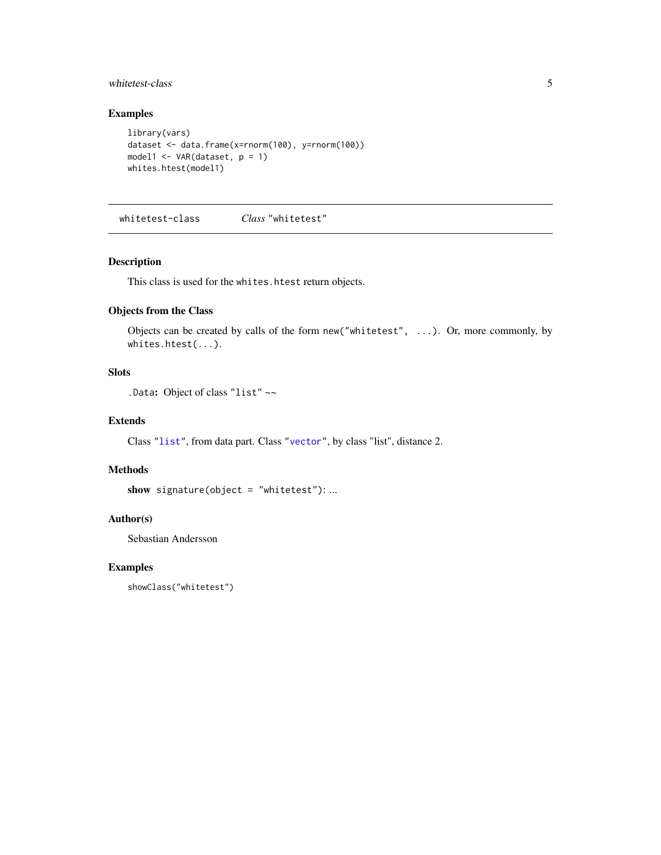#### <span id="page-4-0"></span>whitetest-class 5

#### Examples

```
library(vars)
dataset <- data.frame(x=rnorm(100), y=rnorm(100))
model1 <- VAR(dataset, p = 1)
whites.htest(model1)
```
whitetest-class *Class* "whitetest"

#### Description

This class is used for the whites.htest return objects.

#### Objects from the Class

Objects can be created by calls of the form new("whitetest", ...). Or, more commonly, by whites.htest(...).

#### Slots

.Data: Object of class "list" ~~

#### Extends

Class ["list"](#page-0-0), from data part. Class ["vector"](#page-0-0), by class "list", distance 2.

#### Methods

```
show signature(object = "whitetest"): ...
```
#### Author(s)

Sebastian Andersson

#### Examples

showClass("whitetest")